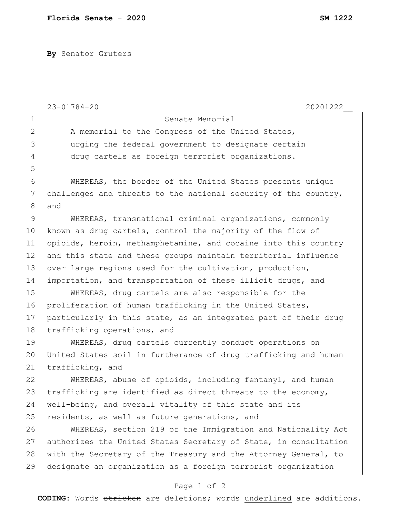**By** Senator Gruters

|              | $23 - 01784 - 20$<br>20201222                                    |
|--------------|------------------------------------------------------------------|
| $\mathbf 1$  | Senate Memorial                                                  |
| $\mathbf{2}$ | A memorial to the Congress of the United States,                 |
| 3            | urging the federal government to designate certain               |
| 4            | drug cartels as foreign terrorist organizations.                 |
| 5            |                                                                  |
| 6            | WHEREAS, the border of the United States presents unique         |
| 7            | challenges and threats to the national security of the country,  |
| 8            | and                                                              |
| 9            | WHEREAS, transnational criminal organizations, commonly          |
| 10           | known as drug cartels, control the majority of the flow of       |
| 11           | opioids, heroin, methamphetamine, and cocaine into this country  |
| 12           | and this state and these groups maintain territorial influence   |
| 13           | over large regions used for the cultivation, production,         |
| 14           | importation, and transportation of these illicit drugs, and      |
| 15           | WHEREAS, drug cartels are also responsible for the               |
| 16           | proliferation of human trafficking in the United States,         |
| 17           | particularly in this state, as an integrated part of their drug  |
| 18           | trafficking operations, and                                      |
| 19           | WHEREAS, drug cartels currently conduct operations on            |
| 20           | United States soil in furtherance of drug trafficking and human  |
| 21           | trafficking, and                                                 |
| 22           | WHEREAS, abuse of opioids, including fentanyl, and human         |
| 23           | trafficking are identified as direct threats to the economy,     |
| 24           | well-being, and overall vitality of this state and its           |
| 25           | residents, as well as future generations, and                    |
| 26           | WHEREAS, section 219 of the Immigration and Nationality Act      |
| 27           | authorizes the United States Secretary of State, in consultation |
| 28           | with the Secretary of the Treasury and the Attorney General, to  |
| 29           | designate an organization as a foreign terrorist organization    |
|              | Page 1 of 2                                                      |

**CODING**: Words stricken are deletions; words underlined are additions.